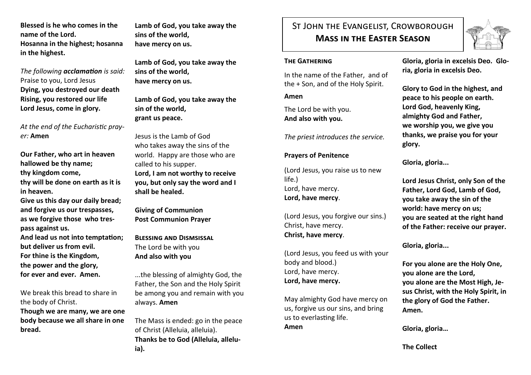**Blessed is he who comes in the name of the Lord. Hosanna in the highest; hosanna in the highest.**

*The following acclamation is said:* Praise to you, Lord Jesus **Dying, you destroyed our death Rising, you restored our life Lord Jesus, come in glory.**

*At the end of the Eucharistic prayer:* **Amen**

**Our Father, who art in heaven hallowed be thy name; thy kingdom come,** 

**thy will be done on earth as it is in heaven.**

**Give us this day our daily bread; and forgive us our trespasses, as we forgive those who trespass against us.** 

**And lead us not into temptation; but deliver us from evil. For thine is the Kingdom, the power and the glory, for ever and ever. Amen.**

We break this bread to share in the body of Christ. **Though we are many, we are one body because we all share in one bread.**

**Lamb of God, you take away the sins of the world, have mercy on us.**

**Lamb of God, you take away the sins of the world, have mercy on us.**

**Lamb of God, you take away the sin of the world, grant us peace.**

Jesus is the Lamb of God who takes away the sins of the world. Happy are those who are called to his supper. **Lord, I am not worthy to receive you, but only say the word and I shall be healed.**

**Giving of Communion Post Communion Prayer**

**Blessing and Dismsissal** The Lord be with you **And also with you**

...the blessing of almighty God, the Father, the Son and the Holy Spirit be among you and remain with you always. **Amen**

The Mass is ended: go in the peace of Christ (Alleluia, alleluia). **Thanks be to God (Alleluia, alleluia).**

# St John the Evangelist, Crowborough **Mass in the Easter Season**



#### **The Gathering**

In the name of the Father, and of the + Son, and of the Holy Spirit.

**Amen**

The Lord be with you. **And also with you.**

*The priest introduces the service.*

## **Prayers of Penitence**

(Lord Jesus, you raise us to new life.) Lord, have mercy. **Lord, have mercy**.

(Lord Jesus, you forgive our sins.) Christ, have mercy. **Christ, have mercy**.

(Lord Jesus, you feed us with your body and blood.) Lord, have mercy. **Lord, have mercy.**

May almighty God have mercy on us, forgive us our sins, and bring us to everlasting life. **Amen**

**Gloria, gloria in excelsis Deo. Gloria, gloria in excelsis Deo.**

**Glory to God in the highest, and peace to his people on earth. Lord God, heavenly King, almighty God and Father, we worship you, we give you thanks, we praise you for your glory.**

**Gloria, gloria...**

**Lord Jesus Christ, only Son of the Father, Lord God, Lamb of God, you take away the sin of the world: have mercy on us; you are seated at the right hand of the Father: receive our prayer.**

**Gloria, gloria...**

**For you alone are the Holy One, you alone are the Lord, you alone are the Most High, Jesus Christ, with the Holy Spirit, in the glory of God the Father. Amen.**

**Gloria, gloria…**

**The Collect**